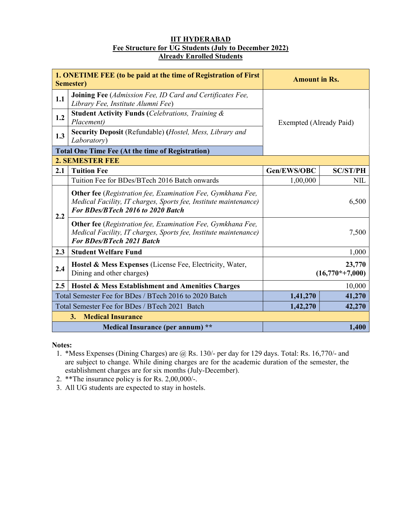### IIT HYDERABAD Fee Structure for UG Students (July to December 2022) Already Enrolled Students

| 1. ONETIME FEE (to be paid at the time of Registration of First<br>Semester) |                                                                                                                                                                             | <b>Amount in Rs.</b>        |                 |
|------------------------------------------------------------------------------|-----------------------------------------------------------------------------------------------------------------------------------------------------------------------------|-----------------------------|-----------------|
| 1.1                                                                          | <b>Joining Fee</b> (Admission Fee, ID Card and Certificates Fee,<br>Library Fee, Institute Alumni Fee)                                                                      | Exempted (Already Paid)     |                 |
| 1.2                                                                          | <b>Student Activity Funds (Celebrations, Training &amp;</b><br>Placement)                                                                                                   |                             |                 |
| 1.3                                                                          | <b>Security Deposit</b> (Refundable) ( <i>Hostel, Mess, Library and</i><br>Laboratory)                                                                                      |                             |                 |
|                                                                              | <b>Total One Time Fee (At the time of Registration)</b>                                                                                                                     |                             |                 |
| <b>2. SEMESTER FEE</b>                                                       |                                                                                                                                                                             |                             |                 |
| 2.1                                                                          | <b>Tuition Fee</b>                                                                                                                                                          | Gen/EWS/OBC                 | <b>SC/ST/PH</b> |
|                                                                              | Tuition Fee for BDes/BTech 2016 Batch onwards                                                                                                                               | 1,00,000                    | NIL             |
| 2.2                                                                          | <b>Other fee</b> (Registration fee, Examination Fee, Gymkhana Fee,<br>Medical Facility, IT charges, Sports fee, Institute maintenance)<br>For BDes/BTech 2016 to 2020 Batch | 6,500                       |                 |
|                                                                              | <b>Other fee</b> (Registration fee, Examination Fee, Gymkhana Fee,<br>Medical Facility, IT charges, Sports fee, Institute maintenance)<br><b>For BDes/BTech 2021 Batch</b>  | 7,500                       |                 |
| 2.3                                                                          | <b>Student Welfare Fund</b>                                                                                                                                                 | 1,000                       |                 |
| 2.4                                                                          | Hostel & Mess Expenses (License Fee, Electricity, Water,<br>Dining and other charges)                                                                                       | 23,770<br>$(16,770*+7,000)$ |                 |
| $2.5^{\circ}$                                                                | Hostel & Mess Establishment and Amenities Charges                                                                                                                           | 10,000                      |                 |
| Total Semester Fee for BDes / BTech 2016 to 2020 Batch                       |                                                                                                                                                                             | 1,41,270                    | 41,270          |
| Total Semester Fee for BDes / BTech 2021 Batch                               |                                                                                                                                                                             | 1,42,270                    | 42,270          |
| 3. Medical Insurance                                                         |                                                                                                                                                                             |                             |                 |
| Medical Insurance (per annum) **                                             |                                                                                                                                                                             |                             | 1,400           |

Notes:

- 1. \*Mess Expenses (Dining Charges) are @ Rs. 130/- per day for 129 days. Total: Rs. 16,770/- and are subject to change. While dining charges are for the academic duration of the semester, the establishment charges are for six months (July-December).
- 2. \*\*The insurance policy is for Rs. 2,00,000/-.
- 3. All UG students are expected to stay in hostels.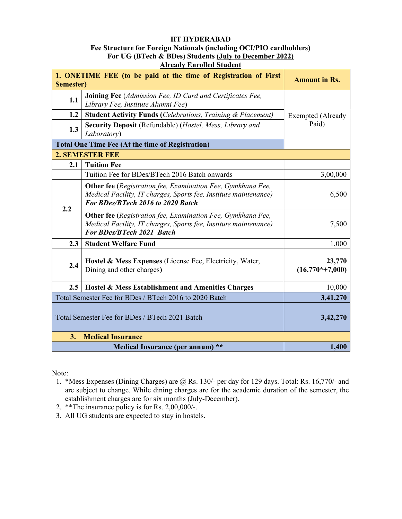### IIT HYDERABAD

### Fee Structure for Foreign Nationals (including OCI/PIO cardholders) For UG (BTech & BDes) Students (July to December 2022) Already Enrolled Student

| <i>Ten cau v Emvencu Studen</i> |                                                                                                                                                                             |                                   |  |
|---------------------------------|-----------------------------------------------------------------------------------------------------------------------------------------------------------------------------|-----------------------------------|--|
| Semester)                       | 1. ONETIME FEE (to be paid at the time of Registration of First                                                                                                             | <b>Amount in Rs.</b>              |  |
| 1.1                             | Joining Fee (Admission Fee, ID Card and Certificates Fee,<br>Library Fee, Institute Alumni Fee)                                                                             |                                   |  |
| 1.2                             | <b>Student Activity Funds (Celebrations, Training &amp; Placement)</b>                                                                                                      | <b>Exempted</b> (Already<br>Paid) |  |
| 1.3                             | Security Deposit (Refundable) (Hostel, Mess, Library and<br>Laboratory)                                                                                                     |                                   |  |
|                                 | <b>Total One Time Fee (At the time of Registration)</b>                                                                                                                     |                                   |  |
|                                 | <b>2. SEMESTER FEE</b>                                                                                                                                                      |                                   |  |
| 2.1                             | <b>Tuition Fee</b>                                                                                                                                                          |                                   |  |
|                                 | Tuition Fee for BDes/BTech 2016 Batch onwards                                                                                                                               | 3,00,000                          |  |
| 2.2                             | <b>Other fee</b> (Registration fee, Examination Fee, Gymkhana Fee,<br>Medical Facility, IT charges, Sports fee, Institute maintenance)<br>For BDes/BTech 2016 to 2020 Batch | 6,500                             |  |
|                                 | <b>Other fee</b> (Registration fee, Examination Fee, Gymkhana Fee,<br>Medical Facility, IT charges, Sports fee, Institute maintenance)<br><b>For BDes/BTech 2021 Batch</b>  | 7,500                             |  |
| 2.3                             | <b>Student Welfare Fund</b>                                                                                                                                                 | 1,000                             |  |
| 2.4                             | Hostel & Mess Expenses (License Fee, Electricity, Water,<br>Dining and other charges)                                                                                       | 23,770<br>$(16,770*+7,000)$       |  |
| 2.5                             | Hostel & Mess Establishment and Amenities Charges                                                                                                                           | 10,000                            |  |
|                                 | Total Semester Fee for BDes / BTech 2016 to 2020 Batch                                                                                                                      | 3,41,270                          |  |
|                                 | Total Semester Fee for BDes / BTech 2021 Batch                                                                                                                              | 3,42,270                          |  |
| 3.                              | <b>Medical Insurance</b>                                                                                                                                                    |                                   |  |
|                                 | Medical Insurance (per annum) **                                                                                                                                            | 1,400                             |  |

Note:

- 1. \*Mess Expenses (Dining Charges) are @ Rs. 130/- per day for 129 days. Total: Rs. 16,770/- and are subject to change. While dining charges are for the academic duration of the semester, the establishment charges are for six months (July-December).
- 2. \*\*The insurance policy is for Rs. 2,00,000/-.
- 3. All UG students are expected to stay in hostels.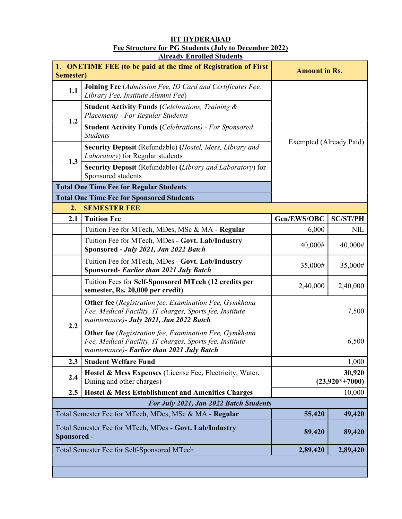#### IIT HYDERABAD Fee Structure for PG Students (July to December 2022) **Already Enrolled Students**

| 1. ONETIME FEE (to be paid at the time of Registration of First<br>Semester) |                                                                                                                                                                  | <b>Amount in Rs.</b>       |                 |
|------------------------------------------------------------------------------|------------------------------------------------------------------------------------------------------------------------------------------------------------------|----------------------------|-----------------|
| 1.1                                                                          | <b>Joining Fee</b> (Admission Fee, ID Card and Certificates Fee,<br>Library Fee, Institute Alumni Fee)                                                           |                            |                 |
| 1.2                                                                          | <b>Student Activity Funds (Celebrations, Training &amp;</b><br>Placement) - For Regular Students                                                                 | Exempted (Already Paid)    |                 |
|                                                                              | <b>Student Activity Funds (Celebrations) - For Sponsored</b><br><b>Students</b>                                                                                  |                            |                 |
| 1.3                                                                          | Security Deposit (Refundable) (Hostel, Mess, Library and<br>Laboratory) for Regular students                                                                     |                            |                 |
|                                                                              | Security Deposit (Refundable) (Library and Laboratory) for<br>Sponsored students                                                                                 |                            |                 |
|                                                                              | <b>Total One Time Fee for Regular Students</b>                                                                                                                   |                            |                 |
|                                                                              | <b>Total One Time Fee for Sponsored Students</b>                                                                                                                 |                            |                 |
| 2.                                                                           | <b>SEMESTER FEE</b>                                                                                                                                              |                            |                 |
| 2.1                                                                          | <b>Tuition Fee</b>                                                                                                                                               | Gen/EWS/OBC                | <b>SC/ST/PH</b> |
|                                                                              | Tuition Fee for MTech, MDes, MSc & MA - Regular                                                                                                                  | 6,000                      | <b>NIL</b>      |
|                                                                              | Tuition Fee for MTech, MDes - Govt. Lab/Industry<br>Sponsored - July 2021, Jan 2022 Batch                                                                        | 40,000#                    | 40,000#         |
|                                                                              | Tuition Fee for MTech, MDes - Govt. Lab/Industry<br><b>Sponsored- Earlier than 2021 July Batch</b>                                                               | 35,000#                    | 35,000#         |
|                                                                              | Tuition Fees for Self-Sponsored MTech (12 credits per<br>semester, Rs. 20,000 per credit)                                                                        | 2,40,000                   | 2,40,000        |
|                                                                              | Other fee (Registration fee, Examination Fee, Gymkhana<br>Fee, Medical Facility, IT charges, Sports fee, Institute<br>maintenance)- July 2021, Jan 2022 Batch    |                            | 7,500           |
| 2.2                                                                          | Other fee (Registration fee, Examination Fee, Gymkhana<br>Fee, Medical Facility, IT charges, Sports fee, Institute<br>maintenance)- Earlier than 2021 July Batch |                            | 6,500           |
| 2.3                                                                          | <b>Student Welfare Fund</b>                                                                                                                                      | 1,000                      |                 |
| 2.4                                                                          | Hostel & Mess Expenses (License Fee, Electricity, Water,<br>Dining and other charges)                                                                            | 30,920<br>$(23,920*+7000)$ |                 |
| 2.5                                                                          | Hostel & Mess Establishment and Amenities Charges                                                                                                                | 10,000                     |                 |
| For July 2021, Jan 2022 Batch Students                                       |                                                                                                                                                                  |                            |                 |
| Total Semester Fee for MTech, MDes, MSc & MA - Regular                       |                                                                                                                                                                  | 55,420                     | 49,420          |
| Total Semester Fee for MTech, MDes - Govt. Lab/Industry<br>Sponsored -       |                                                                                                                                                                  | 89,420                     | 89,420          |
|                                                                              | Total Semester Fee for Self-Sponsored MTech                                                                                                                      | 2,89,420                   | 2,89,420        |
|                                                                              |                                                                                                                                                                  |                            |                 |
|                                                                              |                                                                                                                                                                  |                            |                 |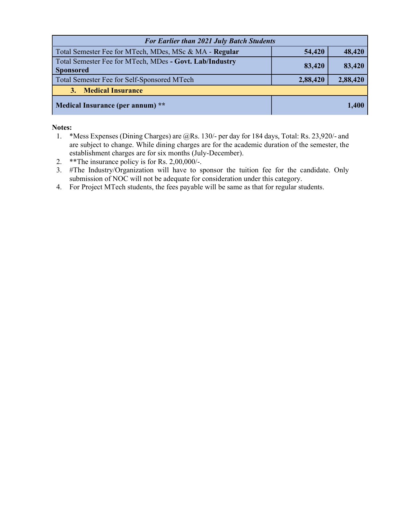| <b>For Earlier than 2021 July Batch Students</b>                            |          |          |  |
|-----------------------------------------------------------------------------|----------|----------|--|
| Total Semester Fee for MTech, MDes, MSc & MA - Regular                      | 54,420   | 48,420   |  |
| Total Semester Fee for MTech, MDes - Govt. Lab/Industry<br><b>Sponsored</b> | 83,420   | 83,420   |  |
| Total Semester Fee for Self-Sponsored MTech                                 | 2,88,420 | 2,88,420 |  |
| 3. Medical Insurance                                                        |          |          |  |
| Medical Insurance (per annum) **                                            |          | 1,400    |  |

# Notes:

- 1. \*Mess Expenses (Dining Charges) are @Rs. 130/- per day for 184 days, Total: Rs. 23,920/- and are subject to change. While dining charges are for the academic duration of the semester, the establishment charges are for six months (July-December).
- 2. \*\*The insurance policy is for Rs. 2,00,000/-.
- 3. #The Industry/Organization will have to sponsor the tuition fee for the candidate. Only submission of NOC will not be adequate for consideration under this category.
- 4. For Project MTech students, the fees payable will be same as that for regular students.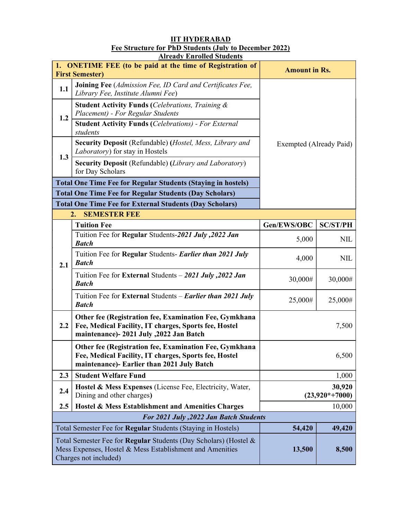# IIT HYDERABAD Fee Structure for PhD Students (July to December 2022) **Already Enrolled Students**

|                                                                                                                                                       | 1. ONETIME FEE (to be paid at the time of Registration of<br><b>First Semester)</b>                                                                           | <b>Amount in Rs.</b>       |                 |
|-------------------------------------------------------------------------------------------------------------------------------------------------------|---------------------------------------------------------------------------------------------------------------------------------------------------------------|----------------------------|-----------------|
| 1.1                                                                                                                                                   | Joining Fee (Admission Fee, ID Card and Certificates Fee,<br>Library Fee, Institute Alumni Fee)                                                               | Exempted (Already Paid)    |                 |
| 1.2                                                                                                                                                   | <b>Student Activity Funds (Celebrations, Training &amp;</b><br>Placement) - For Regular Students                                                              |                            |                 |
|                                                                                                                                                       | <b>Student Activity Funds (Celebrations) - For External</b><br>students                                                                                       |                            |                 |
|                                                                                                                                                       | Security Deposit (Refundable) (Hostel, Mess, Library and<br>Laboratory) for stay in Hostels                                                                   |                            |                 |
| 1.3                                                                                                                                                   | Security Deposit (Refundable) (Library and Laboratory)<br>for Day Scholars                                                                                    |                            |                 |
|                                                                                                                                                       | <b>Total One Time Fee for Regular Students (Staying in hostels)</b>                                                                                           |                            |                 |
|                                                                                                                                                       | <b>Total One Time Fee for Regular Students (Day Scholars)</b>                                                                                                 |                            |                 |
|                                                                                                                                                       | <b>Total One Time Fee for External Students (Day Scholars)</b>                                                                                                |                            |                 |
|                                                                                                                                                       | <b>SEMESTER FEE</b><br>2.                                                                                                                                     |                            |                 |
|                                                                                                                                                       | <b>Tuition Fee</b>                                                                                                                                            | Gen/EWS/OBC                | <b>SC/ST/PH</b> |
|                                                                                                                                                       | Tuition Fee for Regular Students-2021 July, 2022 Jan<br><b>Batch</b>                                                                                          | 5,000                      | <b>NIL</b>      |
| 2.1                                                                                                                                                   | Tuition Fee for Regular Students- Earlier than 2021 July<br><b>Batch</b>                                                                                      | 4,000                      | <b>NIL</b>      |
|                                                                                                                                                       | Tuition Fee for External Students - 2021 July, 2022 Jan<br><b>Batch</b>                                                                                       | 30,000#                    | 30,000#         |
|                                                                                                                                                       | Tuition Fee for External Students – <i>Earlier than 2021 July</i><br><b>Batch</b>                                                                             | 25,000#                    | 25,000#         |
| 2.2                                                                                                                                                   | Other fee (Registration fee, Examination Fee, Gymkhana<br>Fee, Medical Facility, IT charges, Sports fee, Hostel<br>maintenance)- 2021 July , 2022 Jan Batch   | 7,500                      |                 |
|                                                                                                                                                       | Other fee (Registration fee, Examination Fee, Gymkhana<br>Fee, Medical Facility, IT charges, Sports fee, Hostel<br>maintenance)- Earlier than 2021 July Batch | 6,500                      |                 |
| 2.3                                                                                                                                                   | <b>Student Welfare Fund</b>                                                                                                                                   | 1,000                      |                 |
| 2.4                                                                                                                                                   | <b>Hostel &amp; Mess Expenses (License Fee, Electricity, Water,</b><br>Dining and other charges)                                                              | 30,920<br>$(23,920*+7000)$ |                 |
| 2.5                                                                                                                                                   | Hostel & Mess Establishment and Amenities Charges                                                                                                             | 10,000                     |                 |
| For 2021 July , 2022 Jan Batch Students                                                                                                               |                                                                                                                                                               |                            |                 |
|                                                                                                                                                       | Total Semester Fee for Regular Students (Staying in Hostels)                                                                                                  | 54,420                     | 49,420          |
| Total Semester Fee for Regular Students (Day Scholars) (Hostel &<br>Mess Expenses, Hostel & Mess Establishment and Amenities<br>Charges not included) |                                                                                                                                                               | 13,500                     | 8,500           |